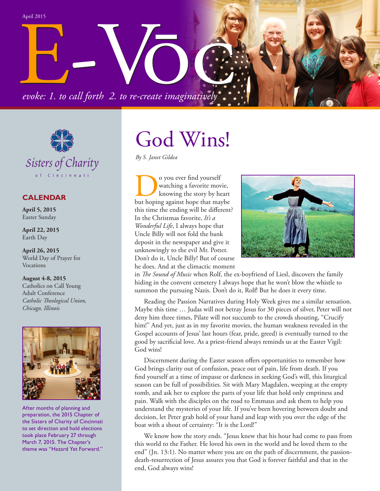evoke: 1. to call forth 2. to re-create imaginatively... *evoke: 1. to call forth 2. to re-create imaginatively* Call forth 2. to re-create imaginatively. April 2015



## **CALENDAR**

**April 5, 2015** Easter Sunday

**April 22, 2015** Earth Day

**April 26, 2015** World Day of Prayer for Vocations

**August 4-8, 2015** Catholics on Call Young Adult Conference *Catholic Theological Union, Chicago, Illinois*



After months of planning and preparation, the 2015 Chapter of the Sisters of Charity of Cincinnati to set direction and hold elections took place February 27 through March 7, 2015. The Chapter's theme was "Hazard Yet Forward."

## God Wins!

*By S. Janet Gildea*

**DO** you ever find yourself<br>
knowing a favorite movie,<br>
but hoping against hope that maybe watching a favorite movie, knowing the story by heart this time the ending will be different? In the Christmas favorite, *It's a Wonderful Life*, I always hope that Uncle Billy will not fold the bank deposit in the newspaper and give it unknowingly to the evil Mr. Potter. Don't do it, Uncle Billy! But of course he does. And at the climactic moment



in *The Sound of Music* when Rolf, the ex-boyfriend of Liesl, discovers the family hiding in the convent cemetery I always hope that he won't blow the whistle to summon the pursuing Nazis. Don't do it, Rolf! But he does it every time.

Reading the Passion Narratives during Holy Week gives me a similar sensation. Maybe this time … Judas will not betray Jesus for 30 pieces of silver, Peter will not deny him three times, Pilate will not succumb to the crowds shouting, "Crucify him!" And yet, just as in my favorite movies, the human weakness revealed in the Gospel accounts of Jesus' last hours (fear, pride, greed) is eventually turned to the good by sacrificial love. As a priest-friend always reminds us at the Easter Vigil: God wins!

Discernment during the Easter season offers opportunities to remember how God brings clarity out of confusion, peace out of pain, life from death. If you find yourself at a time of impasse or darkness in seeking God's will, this liturgical season can be full of possibilities. Sit with Mary Magdalen, weeping at the empty tomb, and ask her to explore the parts of your life that hold only emptiness and pain. Walk with the disciples on the road to Emmaus and ask them to help you understand the mysteries of your life. If you've been hovering between doubt and decision, let Peter grab hold of your hand and leap with you over the edge of the boat with a shout of certainty: "It is the Lord!"

We know how the story ends. "Jesus knew that his hour had come to pass from this world to the Father. He loved his own in the world and he loved them to the end" (Jn. 13:1). No matter where you are on the path of discernment, the passiondeath-resurrection of Jesus assures you that God is forever faithful and that in the end, God always wins!